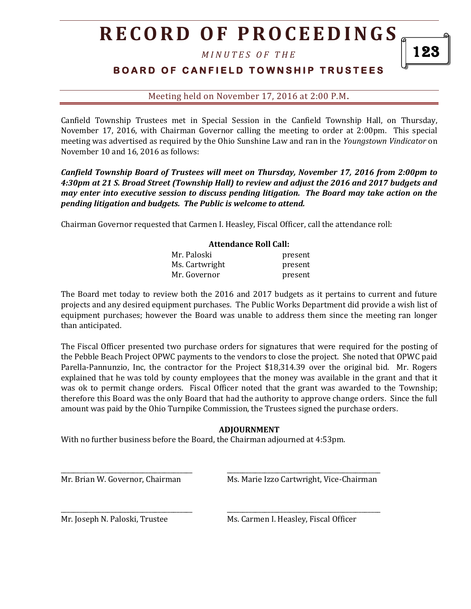# **R E C O R D O F P R O C E E D I N GS**

*M I N U T E S O F T H E* 

### **BOARD OF CANFIELD TOWNSHIP TRUSTEES**

Meeting held on November 17, 2016 at 2:00 P.M**.**

Canfield Township Trustees met in Special Session in the Canfield Township Hall, on Thursday, November 17, 2016, with Chairman Governor calling the meeting to order at 2:00pm. This special meeting was advertised as required by the Ohio Sunshine Law and ran in the *Youngstown Vindicator* on November 10 and 16, 2016 as follows:

*Canfield Township Board of Trustees will meet on Thursday, November 17, 2016 from 2:00pm to 4:30pm at 21 S. Broad Street (Township Hall) to review and adjust the 2016 and 2017 budgets and may enter into executive session to discuss pending litigation. The Board may take action on the pending litigation and budgets. The Public is welcome to attend.*

Chairman Governor requested that Carmen I. Heasley, Fiscal Officer, call the attendance roll:

#### **Attendance Roll Call:**

| Mr. Paloski    | present |
|----------------|---------|
| Ms. Cartwright | present |
| Mr. Governor   | present |

The Board met today to review both the 2016 and 2017 budgets as it pertains to current and future projects and any desired equipment purchases. The Public Works Department did provide a wish list of equipment purchases; however the Board was unable to address them since the meeting ran longer than anticipated.

The Fiscal Officer presented two purchase orders for signatures that were required for the posting of the Pebble Beach Project OPWC payments to the vendors to close the project. She noted that OPWC paid Parella-Pannunzio, Inc, the contractor for the Project \$18,314.39 over the original bid. Mr. Rogers explained that he was told by county employees that the money was available in the grant and that it was ok to permit change orders. Fiscal Officer noted that the grant was awarded to the Township; therefore this Board was the only Board that had the authority to approve change orders. Since the full amount was paid by the Ohio Turnpike Commission, the Trustees signed the purchase orders.

#### **ADJOURNMENT**

With no further business before the Board, the Chairman adjourned at 4:53pm.

\_\_\_\_\_\_\_\_\_\_\_\_\_\_\_\_\_\_\_\_\_\_\_\_\_\_\_\_\_\_\_\_\_\_\_\_\_\_\_\_\_\_ \_\_\_\_\_\_\_\_\_\_\_\_\_\_\_\_\_\_\_\_\_\_\_\_\_\_\_\_\_\_\_\_\_\_\_\_\_\_\_\_\_\_\_\_\_\_\_\_\_

\_\_\_\_\_\_\_\_\_\_\_\_\_\_\_\_\_\_\_\_\_\_\_\_\_\_\_\_\_\_\_\_\_\_\_\_\_\_\_\_\_\_ \_\_\_\_\_\_\_\_\_\_\_\_\_\_\_\_\_\_\_\_\_\_\_\_\_\_\_\_\_\_\_\_\_\_\_\_\_\_\_\_\_\_\_\_\_\_\_\_\_

Mr. Brian W. Governor, Chairman Ms. Marie Izzo Cartwright, Vice-Chairman

Mr. Joseph N. Paloski, Trustee Ms. Carmen I. Heasley, Fiscal Officer

123